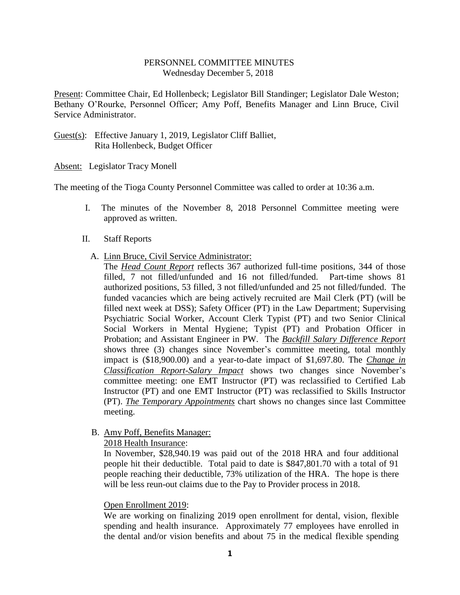## PERSONNEL COMMITTEE MINUTES Wednesday December 5, 2018

Present: Committee Chair, Ed Hollenbeck; Legislator Bill Standinger; Legislator Dale Weston; Bethany O'Rourke, Personnel Officer; Amy Poff, Benefits Manager and Linn Bruce, Civil Service Administrator.

Guest(s): Effective January 1, 2019, Legislator Cliff Balliet, Rita Hollenbeck, Budget Officer

Absent: Legislator Tracy Monell

The meeting of the Tioga County Personnel Committee was called to order at 10:36 a.m.

- I. The minutes of the November 8, 2018 Personnel Committee meeting were approved as written.
- II. Staff Reports
	- A. Linn Bruce, Civil Service Administrator:
		- The *Head Count Report* reflects 367 authorized full-time positions, 344 of those filled, 7 not filled/unfunded and 16 not filled/funded. Part-time shows 81 authorized positions, 53 filled, 3 not filled/unfunded and 25 not filled/funded. The funded vacancies which are being actively recruited are Mail Clerk (PT) (will be filled next week at DSS); Safety Officer (PT) in the Law Department; Supervising Psychiatric Social Worker, Account Clerk Typist (PT) and two Senior Clinical Social Workers in Mental Hygiene; Typist (PT) and Probation Officer in Probation; and Assistant Engineer in PW. The *Backfill Salary Difference Report* shows three (3) changes since November's committee meeting, total monthly impact is (\$18,900.00) and a year-to-date impact of \$1,697.80. The *Change in Classification Report-Salary Impact* shows two changes since November's committee meeting: one EMT Instructor (PT) was reclassified to Certified Lab Instructor (PT) and one EMT Instructor (PT) was reclassified to Skills Instructor (PT). *The Temporary Appointments* chart shows no changes since last Committee meeting.
	- B. Amy Poff, Benefits Manager:

2018 Health Insurance:

In November, \$28,940.19 was paid out of the 2018 HRA and four additional people hit their deductible. Total paid to date is \$847,801.70 with a total of 91 people reaching their deductible, 73% utilization of the HRA. The hope is there will be less reun-out claims due to the Pay to Provider process in 2018.

## Open Enrollment 2019:

We are working on finalizing 2019 open enrollment for dental, vision, flexible spending and health insurance. Approximately 77 employees have enrolled in the dental and/or vision benefits and about 75 in the medical flexible spending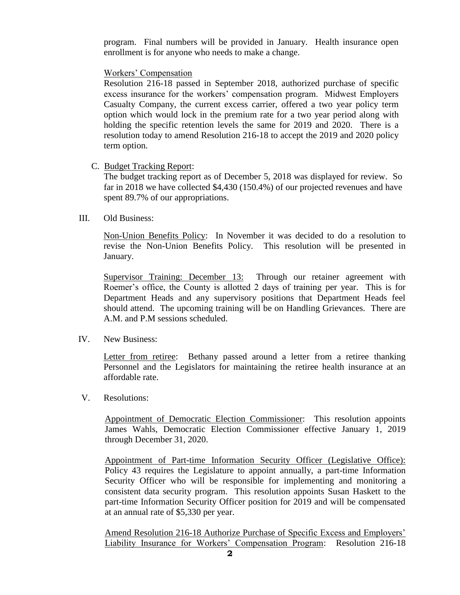program. Final numbers will be provided in January. Health insurance open enrollment is for anyone who needs to make a change.

Workers' Compensation

Resolution 216-18 passed in September 2018, authorized purchase of specific excess insurance for the workers' compensation program. Midwest Employers Casualty Company, the current excess carrier, offered a two year policy term option which would lock in the premium rate for a two year period along with holding the specific retention levels the same for 2019 and 2020. There is a resolution today to amend Resolution 216-18 to accept the 2019 and 2020 policy term option.

C. Budget Tracking Report:

The budget tracking report as of December 5, 2018 was displayed for review. So far in 2018 we have collected \$4,430 (150.4%) of our projected revenues and have spent 89.7% of our appropriations.

## III. Old Business:

Non-Union Benefits Policy: In November it was decided to do a resolution to revise the Non-Union Benefits Policy. This resolution will be presented in January.

Supervisor Training: December 13: Through our retainer agreement with Roemer's office, the County is allotted 2 days of training per year. This is for Department Heads and any supervisory positions that Department Heads feel should attend. The upcoming training will be on Handling Grievances. There are A.M. and P.M sessions scheduled.

IV. New Business:

Letter from retiree: Bethany passed around a letter from a retiree thanking Personnel and the Legislators for maintaining the retiree health insurance at an affordable rate.

V. Resolutions:

Appointment of Democratic Election Commissioner: This resolution appoints James Wahls, Democratic Election Commissioner effective January 1, 2019 through December 31, 2020.

Appointment of Part-time Information Security Officer (Legislative Office): Policy 43 requires the Legislature to appoint annually, a part-time Information Security Officer who will be responsible for implementing and monitoring a consistent data security program. This resolution appoints Susan Haskett to the part-time Information Security Officer position for 2019 and will be compensated at an annual rate of \$5,330 per year.

Amend Resolution 216-18 Authorize Purchase of Specific Excess and Employers' Liability Insurance for Workers' Compensation Program: Resolution 216-18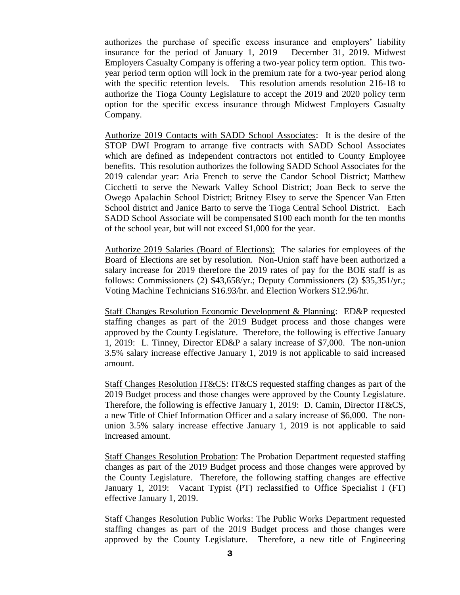authorizes the purchase of specific excess insurance and employers' liability insurance for the period of January 1, 2019 – December 31, 2019. Midwest Employers Casualty Company is offering a two-year policy term option. This twoyear period term option will lock in the premium rate for a two-year period along with the specific retention levels. This resolution amends resolution 216-18 to authorize the Tioga County Legislature to accept the 2019 and 2020 policy term option for the specific excess insurance through Midwest Employers Casualty Company.

Authorize 2019 Contacts with SADD School Associates: It is the desire of the STOP DWI Program to arrange five contracts with SADD School Associates which are defined as Independent contractors not entitled to County Employee benefits. This resolution authorizes the following SADD School Associates for the 2019 calendar year: Aria French to serve the Candor School District; Matthew Cicchetti to serve the Newark Valley School District; Joan Beck to serve the Owego Apalachin School District; Britney Elsey to serve the Spencer Van Etten School district and Janice Barto to serve the Tioga Central School District. Each SADD School Associate will be compensated \$100 each month for the ten months of the school year, but will not exceed \$1,000 for the year.

Authorize 2019 Salaries (Board of Elections): The salaries for employees of the Board of Elections are set by resolution. Non-Union staff have been authorized a salary increase for 2019 therefore the 2019 rates of pay for the BOE staff is as follows: Commissioners (2) \$43,658/yr.; Deputy Commissioners (2) \$35,351/yr.; Voting Machine Technicians \$16.93/hr. and Election Workers \$12.96/hr.

Staff Changes Resolution Economic Development & Planning: ED&P requested staffing changes as part of the 2019 Budget process and those changes were approved by the County Legislature. Therefore, the following is effective January 1, 2019: L. Tinney, Director ED&P a salary increase of \$7,000. The non-union 3.5% salary increase effective January 1, 2019 is not applicable to said increased amount.

Staff Changes Resolution IT&CS: IT&CS requested staffing changes as part of the 2019 Budget process and those changes were approved by the County Legislature. Therefore, the following is effective January 1, 2019: D. Camin, Director IT&CS, a new Title of Chief Information Officer and a salary increase of \$6,000. The nonunion 3.5% salary increase effective January 1, 2019 is not applicable to said increased amount.

Staff Changes Resolution Probation: The Probation Department requested staffing changes as part of the 2019 Budget process and those changes were approved by the County Legislature. Therefore, the following staffing changes are effective January 1, 2019: Vacant Typist (PT) reclassified to Office Specialist I (FT) effective January 1, 2019.

Staff Changes Resolution Public Works: The Public Works Department requested staffing changes as part of the 2019 Budget process and those changes were approved by the County Legislature. Therefore, a new title of Engineering